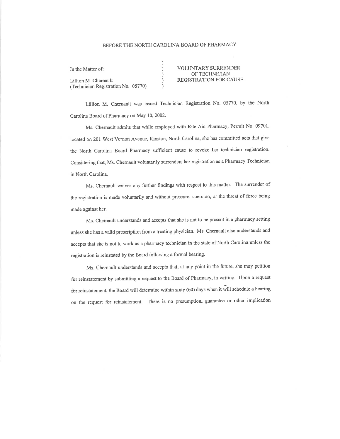## BEFORE THE NORTH CAROLINA BOARD OF PHARMACY

| In the Matter of:                                           | <b>VOLUNTARY SURRENDER</b><br>OF TECHNICIAN |
|-------------------------------------------------------------|---------------------------------------------|
| Lillion M. Chernault<br>(Technician Registration No. 05770) | <b>REGISTRATION FOR CAUSE</b>               |

Lillion M. Chernault was issued Technician Registration No. 05770, by the North Carolina Board of Pharmacy on May 10, 2002.

Ms. Chernault admits that while employed with Rite Aid Pharmacy, Permit No. 09701, located on 201 West Vernon Avenue, Kinston, North Carolina, she has committed acts that give the North Carolina Board Pharmacy sufficient cause to revoke her technician registration. Considering that, Ms. Chernault voluntarily surrenders her registration as a Pharmacy Technician in North Carolina.

Ms. Chernault waives any further findings with respect to this matter. The surrender of the registration is made voluntarily and without pressure, coercion, or the threat of force being made against her.

Ms. Chemault understands and accepts that she is not to be present in a pharmacy setting unless she has a valid prescription from a treating physician. Ms. Chernault also understands and accepts that she is not to work as a pharmacy technician in the state of North Carolina unless the registration is reinstated by the Board following a formal hearing.

Ms. Chemault understands and accepts that, at any point in the future, she may petition for reinstatement by submitting a request to the Board of Pharmacy, in writing. Upon a request for reinstatement, the Board will determine within sixty (60) days when it will schedule a hearing on the request for reinstatement. There is no presumption, guarantee or other implication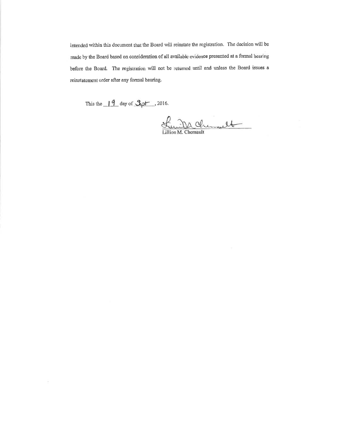intended within this document that the Board will reinstate the registration. The decision will be made by the Board based on consideration of all available evidence presented at a formal hearing before the Board. The registration will not be returned until and unless the Board issues a reinstatement order after any formal hearing.

This the  $14$  day of  $3pt$ , 2016.

Lunill Chemont